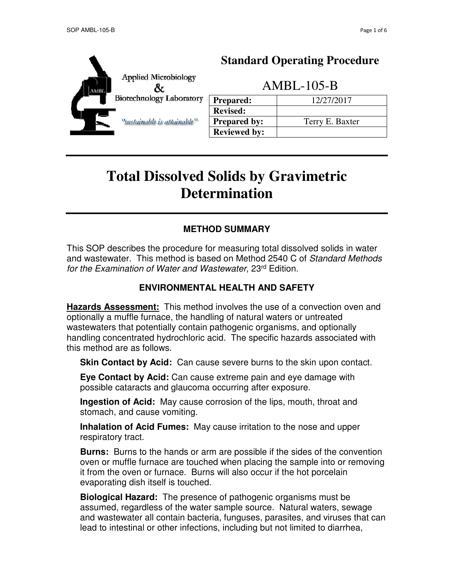

# **Standard Operating Procedure**

AMBL-105-B

| <b>Prepared:</b>    | 12/27/2017      |
|---------------------|-----------------|
| <b>Revised:</b>     |                 |
| <b>Prepared by:</b> | Terry E. Baxter |
| <b>Reviewed by:</b> |                 |

# **Total Dissolved Solids by Gravimetric Determination**

# **METHOD SUMMARY**

This SOP describes the procedure for measuring total dissolved solids in water and wastewater. This method is based on Method 2540 C of Standard Methods for the Examination of Water and Wastewater, 23rd Edition.

#### **ENVIRONMENTAL HEALTH AND SAFETY**

**Hazards Assessment:** This method involves the use of a convection oven and optionally a muffle furnace, the handling of natural waters or untreated wastewaters that potentially contain pathogenic organisms, and optionally handling concentrated hydrochloric acid. The specific hazards associated with this method are as follows.

**Skin Contact by Acid:** Can cause severe burns to the skin upon contact.

**Eye Contact by Acid:** Can cause extreme pain and eye damage with possible cataracts and glaucoma occurring after exposure.

**Ingestion of Acid:** May cause corrosion of the lips, mouth, throat and stomach, and cause vomiting.

**Inhalation of Acid Fumes:** May cause irritation to the nose and upper respiratory tract.

**Burns:** Burns to the hands or arm are possible if the sides of the convention oven or muffle furnace are touched when placing the sample into or removing it from the oven or furnace. Burns will also occur if the hot porcelain evaporating dish itself is touched.

**Biological Hazard:** The presence of pathogenic organisms must be assumed, regardless of the water sample source. Natural waters, sewage and wastewater all contain bacteria, funguses, parasites, and viruses that can lead to intestinal or other infections, including but not limited to diarrhea,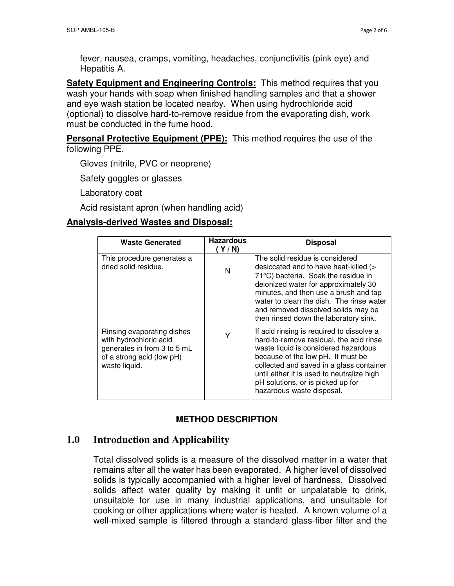fever, nausea, cramps, vomiting, headaches, conjunctivitis (pink eye) and Hepatitis A.

**Safety Equipment and Engineering Controls:** This method requires that you wash your hands with soap when finished handling samples and that a shower and eye wash station be located nearby. When using hydrochloride acid (optional) to dissolve hard-to-remove residue from the evaporating dish, work must be conducted in the fume hood.

**Personal Protective Equipment (PPE):** This method requires the use of the following PPE.

Gloves (nitrile, PVC or neoprene)

Safety goggles or glasses

Laboratory coat

Acid resistant apron (when handling acid)

#### **Analysis-derived Wastes and Disposal:**

| <b>Waste Generated</b>                                                                                                            | <b>Hazardous</b><br>Y/N | <b>Disposal</b>                                                                                                                                                                                                                                                                                                               |
|-----------------------------------------------------------------------------------------------------------------------------------|-------------------------|-------------------------------------------------------------------------------------------------------------------------------------------------------------------------------------------------------------------------------------------------------------------------------------------------------------------------------|
| This procedure generates a<br>dried solid residue.                                                                                | N                       | The solid residue is considered<br>desiccated and to have heat-killed (><br>71°C) bacteria. Soak the residue in<br>deionized water for approximately 30<br>minutes, and then use a brush and tap<br>water to clean the dish. The rinse water<br>and removed dissolved solids may be<br>then rinsed down the laboratory sink.  |
| Rinsing evaporating dishes<br>with hydrochloric acid<br>generates in from 3 to 5 mL<br>of a strong acid (low pH)<br>waste liquid. | Υ                       | If acid rinsing is required to dissolve a<br>hard-to-remove residual, the acid rinse<br>waste liquid is considered hazardous<br>because of the low pH. It must be<br>collected and saved in a glass container<br>until either it is used to neutralize high<br>pH solutions, or is picked up for<br>hazardous waste disposal. |

#### **METHOD DESCRIPTION**

# **1.0 Introduction and Applicability**

Total dissolved solids is a measure of the dissolved matter in a water that remains after all the water has been evaporated. A higher level of dissolved solids is typically accompanied with a higher level of hardness. Dissolved solids affect water quality by making it unfit or unpalatable to drink, unsuitable for use in many industrial applications, and unsuitable for cooking or other applications where water is heated. A known volume of a well-mixed sample is filtered through a standard glass-fiber filter and the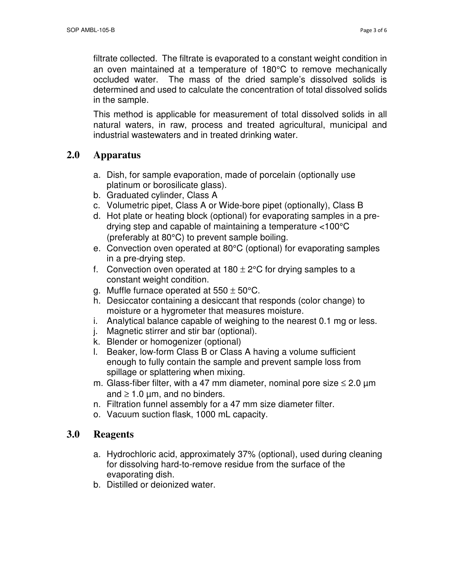filtrate collected. The filtrate is evaporated to a constant weight condition in an oven maintained at a temperature of 180°C to remove mechanically occluded water. The mass of the dried sample's dissolved solids is determined and used to calculate the concentration of total dissolved solids in the sample.

This method is applicable for measurement of total dissolved solids in all natural waters, in raw, process and treated agricultural, municipal and industrial wastewaters and in treated drinking water.

# **2.0 Apparatus**

- a. Dish, for sample evaporation, made of porcelain (optionally use platinum or borosilicate glass).
- b. Graduated cylinder, Class A
- c. Volumetric pipet, Class A or Wide-bore pipet (optionally), Class B
- d. Hot plate or heating block (optional) for evaporating samples in a predrying step and capable of maintaining a temperature <100°C (preferably at 80°C) to prevent sample boiling.
- e. Convection oven operated at 80°C (optional) for evaporating samples in a pre-drying step.
- f. Convection oven operated at  $180 \pm 2^{\circ}$ C for drying samples to a constant weight condition.
- g. Muffle furnace operated at  $550 \pm 50^{\circ}$ C.
- h. Desiccator containing a desiccant that responds (color change) to moisture or a hygrometer that measures moisture.
- i. Analytical balance capable of weighing to the nearest 0.1 mg or less.
- j. Magnetic stirrer and stir bar (optional).
- k. Blender or homogenizer (optional)
- l. Beaker, low-form Class B or Class A having a volume sufficient enough to fully contain the sample and prevent sample loss from spillage or splattering when mixing.
- m. Glass-fiber filter, with a 47 mm diameter, nominal pore size  $\leq 2.0$   $\mu$ m and  $\geq 1.0$  µm, and no binders.
- n. Filtration funnel assembly for a 47 mm size diameter filter.
- o. Vacuum suction flask, 1000 mL capacity.

#### **3.0 Reagents**

- a. Hydrochloric acid, approximately 37% (optional), used during cleaning for dissolving hard-to-remove residue from the surface of the evaporating dish.
- b. Distilled or deionized water.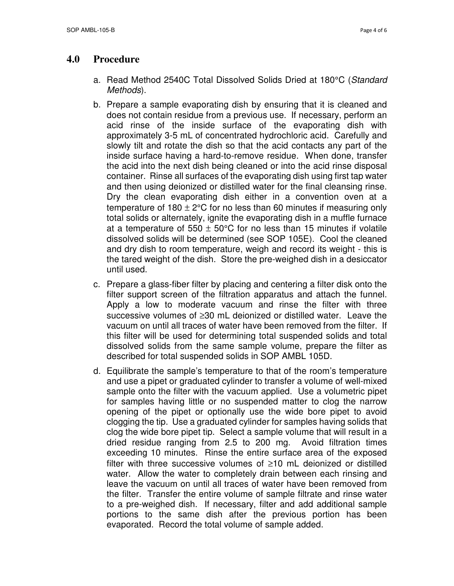#### **4.0 Procedure**

- a. Read Method 2540C Total Dissolved Solids Dried at 180°C (Standard Methods).
- b. Prepare a sample evaporating dish by ensuring that it is cleaned and does not contain residue from a previous use. If necessary, perform an acid rinse of the inside surface of the evaporating dish with approximately 3-5 mL of concentrated hydrochloric acid. Carefully and slowly tilt and rotate the dish so that the acid contacts any part of the inside surface having a hard-to-remove residue. When done, transfer the acid into the next dish being cleaned or into the acid rinse disposal container. Rinse all surfaces of the evaporating dish using first tap water and then using deionized or distilled water for the final cleansing rinse. Dry the clean evaporating dish either in a convention oven at a temperature of  $180 \pm 2^{\circ}$ C for no less than 60 minutes if measuring only total solids or alternately, ignite the evaporating dish in a muffle furnace at a temperature of  $550 \pm 50^{\circ}$ C for no less than 15 minutes if volatile dissolved solids will be determined (see SOP 105E). Cool the cleaned and dry dish to room temperature, weigh and record its weight - this is the tared weight of the dish. Store the pre-weighed dish in a desiccator until used.
- c. Prepare a glass-fiber filter by placing and centering a filter disk onto the filter support screen of the filtration apparatus and attach the funnel. Apply a low to moderate vacuum and rinse the filter with three successive volumes of ≥30 mL deionized or distilled water. Leave the vacuum on until all traces of water have been removed from the filter. If this filter will be used for determining total suspended solids and total dissolved solids from the same sample volume, prepare the filter as described for total suspended solids in SOP AMBL 105D.
- d. Equilibrate the sample's temperature to that of the room's temperature and use a pipet or graduated cylinder to transfer a volume of well-mixed sample onto the filter with the vacuum applied. Use a volumetric pipet for samples having little or no suspended matter to clog the narrow opening of the pipet or optionally use the wide bore pipet to avoid clogging the tip. Use a graduated cylinder for samples having solids that clog the wide bore pipet tip. Select a sample volume that will result in a dried residue ranging from 2.5 to 200 mg. Avoid filtration times exceeding 10 minutes. Rinse the entire surface area of the exposed filter with three successive volumes of ≥10 mL deionized or distilled water. Allow the water to completely drain between each rinsing and leave the vacuum on until all traces of water have been removed from the filter. Transfer the entire volume of sample filtrate and rinse water to a pre-weighed dish. If necessary, filter and add additional sample portions to the same dish after the previous portion has been evaporated. Record the total volume of sample added.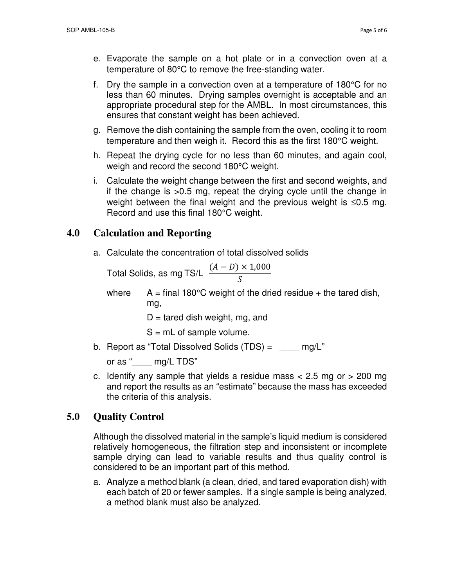- e. Evaporate the sample on a hot plate or in a convection oven at a temperature of 80°C to remove the free-standing water.
- f. Dry the sample in a convection oven at a temperature of 180°C for no less than 60 minutes. Drying samples overnight is acceptable and an appropriate procedural step for the AMBL. In most circumstances, this ensures that constant weight has been achieved.
- g. Remove the dish containing the sample from the oven, cooling it to room temperature and then weigh it. Record this as the first 180°C weight.
- h. Repeat the drying cycle for no less than 60 minutes, and again cool, weigh and record the second 180°C weight.
- i. Calculate the weight change between the first and second weights, and if the change is >0.5 mg, repeat the drying cycle until the change in weight between the final weight and the previous weight is ≤0.5 mg. Record and use this final 180°C weight.

# **4.0 Calculation and Reporting**

a. Calculate the concentration of total dissolved solids

Total Solids, as mg TS/L  $(A - D) \times 1,000$  $\mathcal{S}_{0}^{(n)}$ 

where  $A = \text{final } 180^{\circ}$ C weight of the dried residue + the tared dish, mg,

 $D =$  tared dish weight, mg, and

 $S = mL$  of sample volume.

b. Report as "Total Dissolved Solids  $(TDS) =$  \_\_\_\_\_ mg/L"

or as " \_\_\_ mg/L TDS"

c. Identify any sample that yields a residue mass  $<$  2.5 mg or  $>$  200 mg and report the results as an "estimate" because the mass has exceeded the criteria of this analysis.

# **5.0 Quality Control**

Although the dissolved material in the sample's liquid medium is considered relatively homogeneous, the filtration step and inconsistent or incomplete sample drying can lead to variable results and thus quality control is considered to be an important part of this method.

a. Analyze a method blank (a clean, dried, and tared evaporation dish) with each batch of 20 or fewer samples. If a single sample is being analyzed, a method blank must also be analyzed.